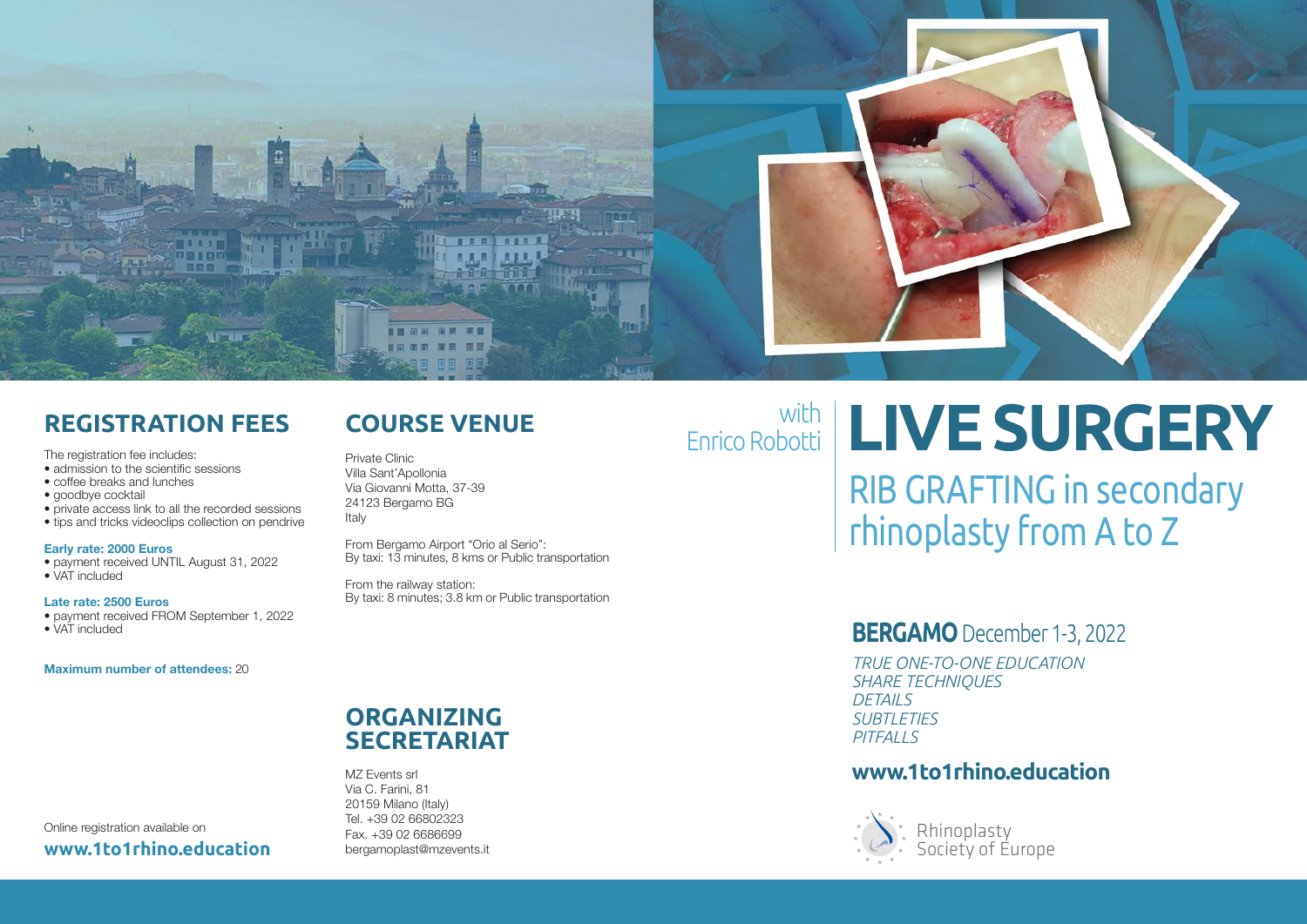

#### **REGISTRATION FEES**

The registration fee includes:

- admission to the scientific sessions
- coffee breaks and lunches
- goodbye cocktail
- private access link to all the recorded sessions • tips and tricks videoclips collection on pendrive

#### Early rate: 2000 Euros

- payment received UNTIL August 31, 2022
- VAT included

Late rate: 2500 Euros

• payment received FROM September 1, 2022

• VAT included

Maximum number of attendees: 20

## **COURSE VENUE**

Private Clinic Villa Sant'Apollonia Via Giovanni Motta, 37-39 24123 Bergamo BG Italy

From Bergamo Airport "Orio al Serio": By taxi: 13 minutes, 8 kms or Public transportation

From the railway station: By taxi: 8 minutes; 3.8 km or Public transportation

# **LIVE SURGERY** Enrico Robotti

RIB GRAFTING in secondary rhinoplasty from A to Z

#### **BERGAMO** December 1-3, 2022

*TRUE ONE-TO-ONE EDUCATION SHARE TECHNIQUES DETAILS SUBTLETIES PITFALLS*

#### **www.1to1rhino.education**



Society of Europe

Rhinoplasty Society of Europe

#### **ORGANIZING SECRETARIAT**

MZ Events srl Via C. Farini, 81 20159 Milano (Italy) Tel. +39 02 66802323 Fax. +39 02 6686699 bergamoplast@mzevents.it

Online registration available on **www.1to1rhino.education**